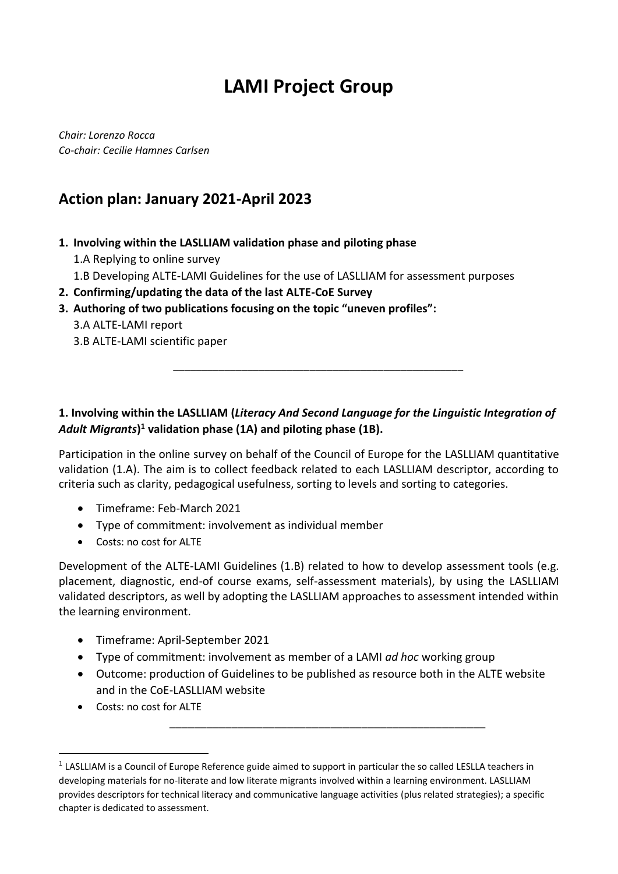# **LAMI Project Group**

*Chair: Lorenzo Rocca Co-chair: Cecilie Hamnes Carlsen*

## **Action plan: January 2021-April 2023**

### **1. Involving within the LASLLIAM validation phase and piloting phase**

- 1.A Replying to online survey
- 1.B Developing ALTE-LAMI Guidelines for the use of LASLLIAM for assessment purposes
- **2. Confirming/updating the data of the last ALTE-CoE Survey**
- **3. Authoring of two publications focusing on the topic "uneven profiles":**
	- 3.A ALTE-LAMI report
	- 3.B ALTE-LAMI scientific paper

## **1. Involving within the LASLLIAM (***Literacy And Second Language for the Linguistic Integration of Adult Migrants***) <sup>1</sup> validation phase (1A) and piloting phase (1B).**

\_\_\_\_\_\_\_\_\_\_\_\_\_\_\_\_\_\_\_\_\_\_\_\_\_\_\_\_\_\_\_\_\_\_\_\_\_\_\_\_\_\_\_\_\_\_\_\_\_\_\_

Participation in the online survey on behalf of the Council of Europe for the LASLLIAM quantitative validation (1.A). The aim is to collect feedback related to each LASLLIAM descriptor, according to criteria such as clarity, pedagogical usefulness, sorting to levels and sorting to categories.

- Timeframe: Feb-March 2021
- Type of commitment: involvement as individual member
- Costs: no cost for ALTE

Development of the ALTE-LAMI Guidelines (1.B) related to how to develop assessment tools (e.g. placement, diagnostic, end-of course exams, self-assessment materials), by using the LASLLIAM validated descriptors, as well by adopting the LASLLIAM approaches to assessment intended within the learning environment.

- Timeframe: April-September 2021
- Type of commitment: involvement as member of a LAMI *ad hoc* working group
- Outcome: production of Guidelines to be published as resource both in the ALTE website and in the CoE-LASLLIAM website

\_\_\_\_\_\_\_\_\_\_\_\_\_\_\_\_\_\_\_\_\_\_\_\_\_\_\_\_\_\_\_\_\_\_\_\_\_\_\_\_\_\_\_\_\_\_\_\_\_\_\_

Costs: no cost for ALTE

**.** 

 $1$  LASLLIAM is a Council of Europe Reference guide aimed to support in particular the so called LESLLA teachers in developing materials for no-literate and low literate migrants involved within a learning environment. LASLLIAM provides descriptors for technical literacy and communicative language activities (plus related strategies); a specific chapter is dedicated to assessment.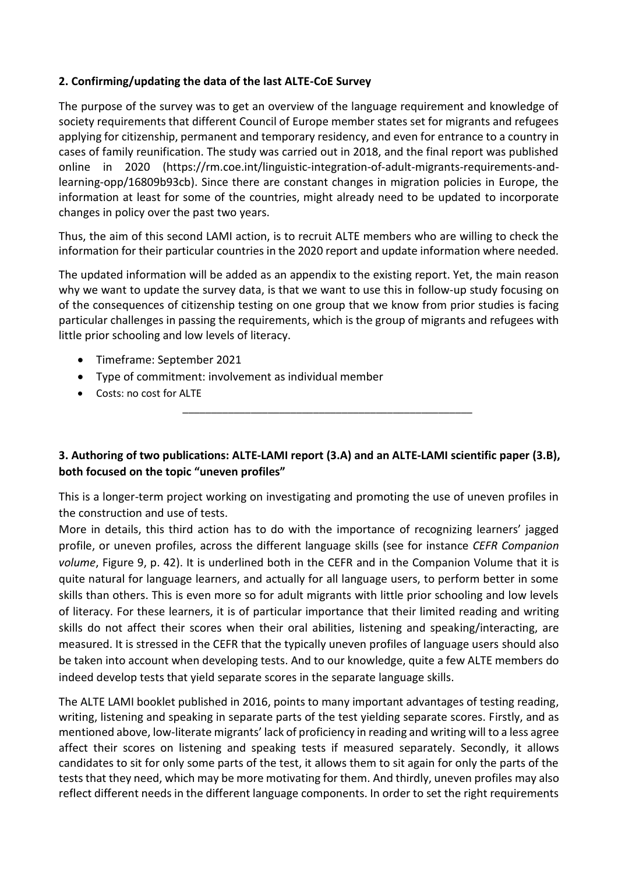### **2. Confirming/updating the data of the last ALTE-CoE Survey**

The purpose of the survey was to get an overview of the language requirement and knowledge of society requirements that different Council of Europe member states set for migrants and refugees applying for citizenship, permanent and temporary residency, and even for entrance to a country in cases of family reunification. The study was carried out in 2018, and the final report was published online in 2020 [\(https://rm.coe.int/linguistic-integration-of-adult-migrants-requirements-and](https://rm.coe.int/linguistic-integration-of-adult-migrants-requirements-and-learning-opp/16809b93cb)[learning-opp/16809b93cb\)](https://rm.coe.int/linguistic-integration-of-adult-migrants-requirements-and-learning-opp/16809b93cb). Since there are constant changes in migration policies in Europe, the information at least for some of the countries, might already need to be updated to incorporate changes in policy over the past two years.

Thus, the aim of this second LAMI action, is to recruit ALTE members who are willing to check the information for their particular countries in the 2020 report and update information where needed.

The updated information will be added as an appendix to the existing report. Yet, the main reason why we want to update the survey data, is that we want to use this in follow-up study focusing on of the consequences of citizenship testing on one group that we know from prior studies is facing particular challenges in passing the requirements, which is the group of migrants and refugees with little prior schooling and low levels of literacy.

- Timeframe: September 2021
- Type of commitment: involvement as individual member
- Costs: no cost for ALTE

## **3. Authoring of two publications: ALTE-LAMI report (3.A) and an ALTE-LAMI scientific paper (3.B), both focused on the topic "uneven profiles"**

\_\_\_\_\_\_\_\_\_\_\_\_\_\_\_\_\_\_\_\_\_\_\_\_\_\_\_\_\_\_\_\_\_\_\_\_\_\_\_\_\_\_\_\_\_\_\_\_\_\_\_

This is a longer-term project working on investigating and promoting the use of uneven profiles in the construction and use of tests.

More in details, this third action has to do with the importance of recognizing learners' jagged profile, or uneven profiles, across the different language skills (see for instance *CEFR Companion volume*, Figure 9, p. 42). It is underlined both in the CEFR and in the Companion Volume that it is quite natural for language learners, and actually for all language users, to perform better in some skills than others. This is even more so for adult migrants with little prior schooling and low levels of literacy. For these learners, it is of particular importance that their limited reading and writing skills do not affect their scores when their oral abilities, listening and speaking/interacting, are measured. It is stressed in the CEFR that the typically uneven profiles of language users should also be taken into account when developing tests. And to our knowledge, quite a few ALTE members do indeed develop tests that yield separate scores in the separate language skills.

The ALTE LAMI booklet published in 2016, points to many important advantages of testing reading, writing, listening and speaking in separate parts of the test yielding separate scores. Firstly, and as mentioned above, low-literate migrants' lack of proficiency in reading and writing will to a less agree affect their scores on listening and speaking tests if measured separately. Secondly, it allows candidates to sit for only some parts of the test, it allows them to sit again for only the parts of the tests that they need, which may be more motivating for them. And thirdly, uneven profiles may also reflect different needs in the different language components. In order to set the right requirements